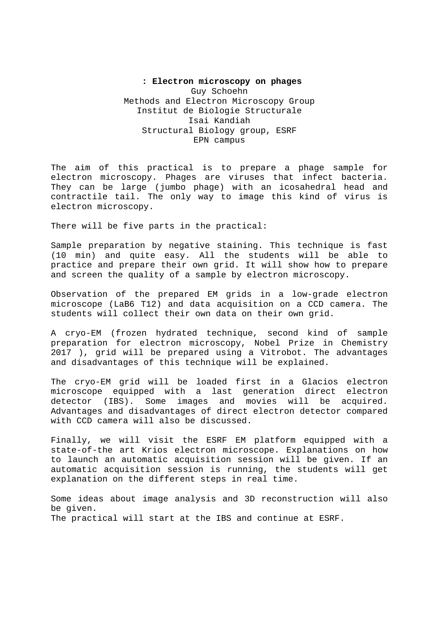## **: Electron microscopy on phages**  Guy Schoehn Methods and Electron Microscopy Group Institut de Biologie Structurale Isai Kandiah Structural Biology group, ESRF EPN campus

The aim of this practical is to prepare a phage sample for electron microscopy. Phages are viruses that infect bacteria. They can be large (jumbo phage) with an icosahedral head and contractile tail. The only way to image this kind of virus is electron microscopy.

There will be five parts in the practical:

Sample preparation by negative staining. This technique is fast (10 min) and quite easy. All the students will be able to practice and prepare their own grid. It will show how to prepare and screen the quality of a sample by electron microscopy.

Observation of the prepared EM grids in a low-grade electron microscope (LaB6 T12) and data acquisition on a CCD camera. The students will collect their own data on their own grid.

A cryo-EM (frozen hydrated technique, second kind of sample preparation for electron microscopy, Nobel Prize in Chemistry 2017 ), grid will be prepared using a Vitrobot. The advantages and disadvantages of this technique will be explained.

The cryo-EM grid will be loaded first in a Glacios electron microscope equipped with a last generation direct electron detector (IBS). Some images and movies will be acquired. Advantages and disadvantages of direct electron detector compared with CCD camera will also be discussed.

Finally, we will visit the ESRF EM platform equipped with a state-of-the art Krios electron microscope. Explanations on how to launch an automatic acquisition session will be given. If an automatic acquisition session is running, the students will get explanation on the different steps in real time.

Some ideas about image analysis and 3D reconstruction will also be given. The practical will start at the IBS and continue at ESRF.